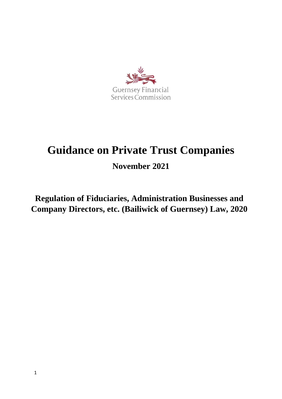

# **Guidance on Private Trust Companies**

**November 2021**

**Regulation of Fiduciaries, Administration Businesses and Company Directors, etc. (Bailiwick of Guernsey) Law, 2020**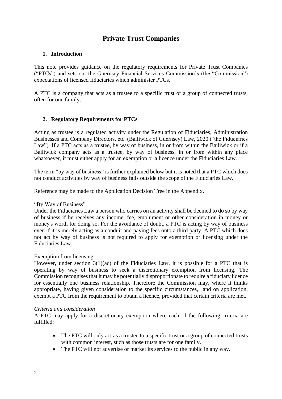# **Private Trust Companies**

#### **1. Introduction**

This note provides guidance on the regulatory requirements for Private Trust Companies ("PTCs") and sets out the Guernsey Financial Services Commission's (the "Commission") expectations of licensed fiduciaries which administer PTCs.

A PTC is a company that acts as a trustee to a specific trust or a group of connected trusts, often for one family.

## **2. Regulatory Requirements for PTCs**

Acting as trustee is a regulated activity under the Regulation of Fiduciaries, Administration Businesses and Company Directors, etc. (Bailiwick of Guernsey) Law, 2020 ("the Fiduciaries Law"). If a PTC acts as a trustee, by way of business, in or from within the Bailiwick or if a Bailiwick company acts as a trustee, by way of business, in or from within any place whatsoever, it must either apply for an exemption or a licence under the Fiduciaries Law.

The term "by way of business" is further explained below but it is noted that a PTC which does not conduct activities by way of business falls outside the scope of the Fiduciaries Law.

Reference may be made to the Application Decision Tree in the Appendix.

#### "By Way of Business"

Under the Fiduciaries Law a person who carries on an activity shall be deemed to do so by way of business if he receives any income, fee, emolument or other consideration in money or money's worth for doing so. For the avoidance of doubt, a PTC is acting by way of business even if it is merely acting as a conduit and paying fees onto a third party. A PTC which does not act by way of business is not required to apply for exemption or licensing under the Fiduciaries Law.

#### Exemption from licensing

However, under section  $3(1)(ac)$  of the Fiduciaries Law, it is possible for a PTC that is operating by way of business to seek a discretionary exemption from licensing. The Commission recognises that it may be potentially disproportionate to require a fiduciary licence for essentially one business relationship. Therefore the Commission may, where it thinks appropriate, having given consideration to the specific circumstances, and on application, exempt a PTC from the requirement to obtain a licence, provided that certain criteria are met.

#### *Criteria and consideration*

A PTC may apply for a discretionary exemption where each of the following criteria are fulfilled:

- The PTC will only act as a trustee to a specific trust or a group of connected trusts with common interest, such as those trusts are for one family.
- The PTC will not advertise or market its services to the public in any way.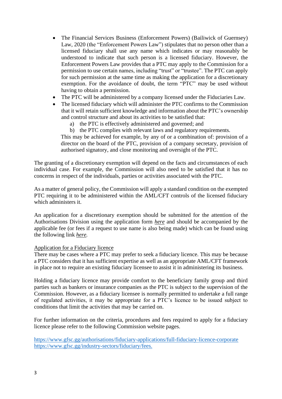- The Financial Services Business (Enforcement Powers) (Bailiwick of Guernsey) Law, 2020 (the "Enforcement Powers Law") stipulates that no person other than a licensed fiduciary shall use any name which indicates or may reasonably be understood to indicate that such person is a licensed fiduciary. However, the Enforcement Powers Law provides that a PTC may apply to the Commission for a permission to use certain names, including "trust" or "trustee". The PTC can apply for such permission at the same time as making the application for a discretionary exemption. For the avoidance of doubt, the term "PTC" may be used without having to obtain a permission.
- The PTC will be administered by a company licensed under the Fiduciaries Law.
- The licensed fiduciary which will administer the PTC confirms to the Commission that it will retain sufficient knowledge and information about the PTC's ownership and control structure and about its activities to be satisfied that:
	- a) the PTC is effectively administered and governed; and
	- b) the PTC complies with relevant laws and regulatory requirements.

This may be achieved for example, by any of or a combination of: provision of a director on the board of the PTC, provision of a company secretary, provision of authorised signatory, and close monitoring and oversight of the PTC.

The granting of a discretionary exemption will depend on the facts and circumstances of each individual case. For example, the Commission will also need to be satisfied that it has no concerns in respect of the individuals, parties or activities associated with the PTC.

As a matter of general policy, the Commission will apply a standard condition on the exempted PTC requiring it to be administered within the AML/CFT controls of the licensed fiduciary which administers it.

An application for a discretionary exemption should be submitted for the attention of the Authorisations Division using the application form *[here](http://intranet/Projects/roli/Working%20Documents/Codes%20and%20Guidance%20Consultation/April%202021%20-%20PTC%20Guidance%20-%20Draft.docx)* and should be accompanied by the applicable fee (or fees if a request to use name is also being made) which can be found using the following link *[here.](http://intranet/Projects/roli/Working%20Documents/Codes%20and%20Guidance%20Consultation/April%202021%20-%20PTC%20Guidance%20-%20Draft.docx)*

#### Application for a Fiduciary licence

There may be cases where a PTC may prefer to seek a fiduciary licence. This may be because a PTC considers that it has sufficient expertise as well as an appropriate AML/CFT framework in place not to require an existing fiduciary licensee to assist it in administering its business.

Holding a fiduciary licence may provide comfort to the beneficiary family group and third parties such as bankers or insurance companies as the PTC is subject to the supervision of the Commission. However, as a fiduciary licensee is normally permitted to undertake a full range of regulated activities, it may be appropriate for a PTC's licence to be issued subject to conditions that limit the activities that may be carried on.

For further information on the criteria, procedures and fees required to apply for a fiduciary licence please refer to the following Commission website pages.

[https://www.gfsc.gg/authorisations/fiduciary-applications/full-fiduciary-licence-corporate](http://intranet/Projects/roli/Working%20Documents/Codes%20and%20Guidance%20Consultation/April%202021%20-%20PTC%20Guidance%20-%20Draft.docx) [https://www.gfsc.gg/industry-sectors/fiduciary/fees.](http://intranet/Projects/roli/Working%20Documents/Codes%20and%20Guidance%20Consultation/April%202021%20-%20PTC%20Guidance%20-%20Draft.docx)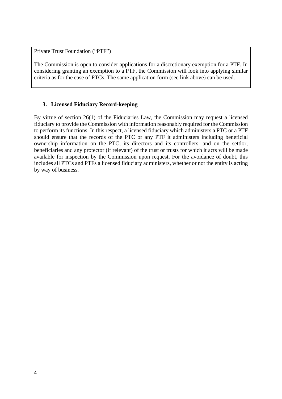Private Trust Foundation ("PTF")

The Commission is open to consider applications for a discretionary exemption for a PTF. In considering granting an exemption to a PTF, the Commission will look into applying similar criteria as for the case of PTCs. The same application form (see link above) can be used.

## **3. Licensed Fiduciary Record-keeping**

By virtue of section 26(1) of the Fiduciaries Law, the Commission may request a licensed fiduciary to provide the Commission with information reasonably required for the Commission to perform its functions. In this respect, a licensed fiduciary which administers a PTC or a PTF should ensure that the records of the PTC or any PTF it administers including beneficial ownership information on the PTC, its directors and its controllers, and on the settlor, beneficiaries and any protector (if relevant) of the trust or trusts for which it acts will be made available for inspection by the Commission upon request. For the avoidance of doubt, this includes all PTCs and PTFs a licensed fiduciary administers, whether or not the entity is acting by way of business.